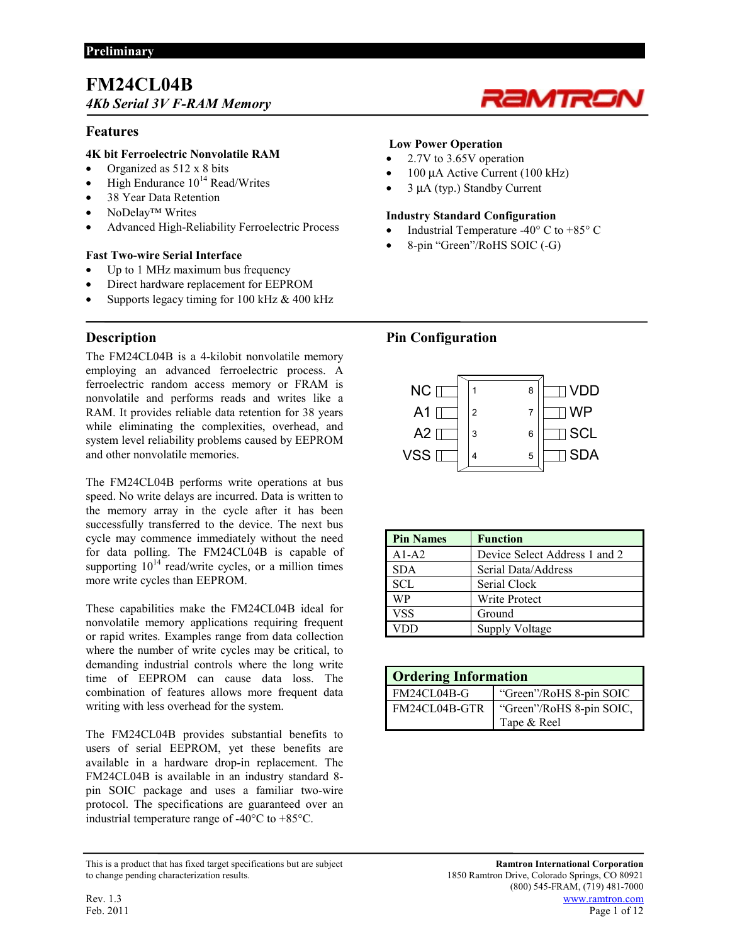# **FM24CL04B**  *4Kb Serial 3V F-RAM Memory*

## **Features**

## **4K bit Ferroelectric Nonvolatile RAM**

- Organized as 512 x 8 bits
- High Endurance  $10^{14}$  Read/Writes
- 38 Year Data Retention
- NoDelay<sup>™</sup> Writes
- Advanced High-Reliability Ferroelectric Process

## **Fast Two-wire Serial Interface**

- Up to 1 MHz maximum bus frequency
- Direct hardware replacement for EEPROM
- Supports legacy timing for 100 kHz & 400 kHz

# **Description**

The FM24CL04B is a 4-kilobit nonvolatile memory employing an advanced ferroelectric process. A ferroelectric random access memory or FRAM is nonvolatile and performs reads and writes like a RAM. It provides reliable data retention for 38 years while eliminating the complexities, overhead, and system level reliability problems caused by EEPROM and other nonvolatile memories.

The FM24CL04B performs write operations at bus speed. No write delays are incurred. Data is written to the memory array in the cycle after it has been successfully transferred to the device. The next bus cycle may commence immediately without the need for data polling. The FM24CL04B is capable of supporting  $10^{14}$  read/write cycles, or a million times more write cycles than EEPROM.

These capabilities make the FM24CL04B ideal for nonvolatile memory applications requiring frequent or rapid writes. Examples range from data collection where the number of write cycles may be critical, to demanding industrial controls where the long write time of EEPROM can cause data loss. The combination of features allows more frequent data writing with less overhead for the system.

The FM24CL04B provides substantial benefits to users of serial EEPROM, yet these benefits are available in a hardware drop-in replacement. The FM24CL04B is available in an industry standard 8 pin SOIC package and uses a familiar two-wire protocol. The specifications are guaranteed over an industrial temperature range of -40°C to +85°C.

#### This is a product that has fixed target specifications but are subject **Ramtron International Corporation** to change pending characterization results. 1850 Ramtron Drive, Colorado Springs, CO 80921

## **Low Power Operation**

- 2.7V to 3.65V operation
- 100 µA Active Current (100 kHz)
- 3 µA (typ.) Standby Current

## **Industry Standard Configuration**

Industrial Temperature -40 $\degree$  C to +85 $\degree$  C

eMir

• 8-pin "Green"/RoHS SOIC (-G)

## **Pin Configuration**



| <b>Pin Names</b> | <b>Function</b>               |
|------------------|-------------------------------|
| $A1-A2$          | Device Select Address 1 and 2 |
| <b>SDA</b>       | Serial Data/Address           |
| <b>SCL</b>       | Serial Clock                  |
| WP               | Write Protect                 |
| <b>VSS</b>       | Ground                        |
|                  | <b>Supply Voltage</b>         |

| <b>Ordering Information</b> |                          |
|-----------------------------|--------------------------|
| FM24CL04B-G                 | "Green"/RoHS 8-pin SOIC  |
| FM24CL04B-GTR               | "Green"/RoHS 8-pin SOIC, |
|                             | Tape & Reel              |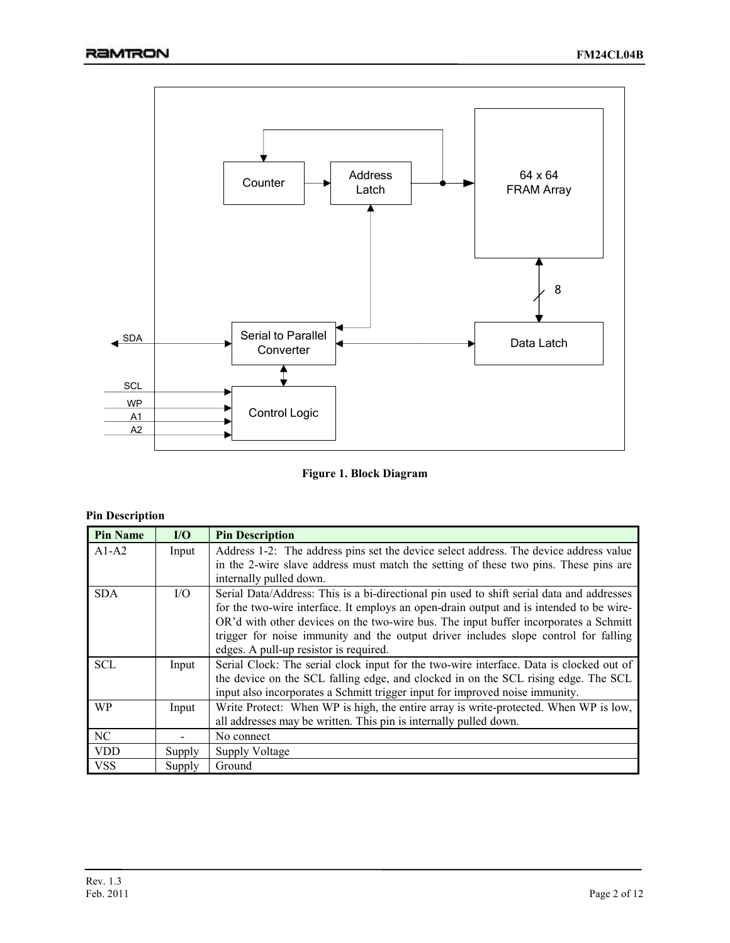

**Figure 1. Block Diagram** 

## **Pin Description**

| <b>Pin Name</b> | I/O    | <b>Pin Description</b>                                                                    |
|-----------------|--------|-------------------------------------------------------------------------------------------|
| $A1-A2$         | Input  | Address 1-2: The address pins set the device select address. The device address value     |
|                 |        | in the 2-wire slave address must match the setting of these two pins. These pins are      |
|                 |        | internally pulled down.                                                                   |
| <b>SDA</b>      | I/O    | Serial Data/Address: This is a bi-directional pin used to shift serial data and addresses |
|                 |        | for the two-wire interface. It employs an open-drain output and is intended to be wire-   |
|                 |        | OR'd with other devices on the two-wire bus. The input buffer incorporates a Schmitt      |
|                 |        | trigger for noise immunity and the output driver includes slope control for falling       |
|                 |        | edges. A pull-up resistor is required.                                                    |
| <b>SCL</b>      | Input  | Serial Clock: The serial clock input for the two-wire interface. Data is clocked out of   |
|                 |        | the device on the SCL falling edge, and clocked in on the SCL rising edge. The SCL        |
|                 |        | input also incorporates a Schmitt trigger input for improved noise immunity.              |
| <b>WP</b>       | Input  | Write Protect: When WP is high, the entire array is write-protected. When WP is low,      |
|                 |        | all addresses may be written. This pin is internally pulled down.                         |
| NC              |        | No connect                                                                                |
| <b>VDD</b>      | Supply | <b>Supply Voltage</b>                                                                     |
| <b>VSS</b>      | Supply | Ground                                                                                    |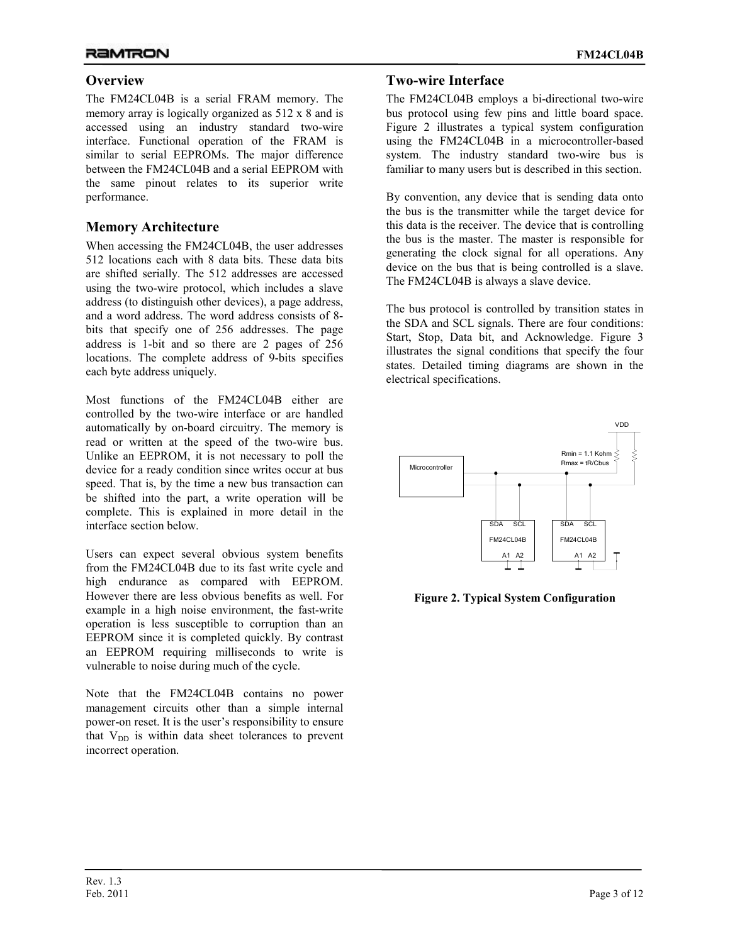## **Overview**

The FM24CL04B is a serial FRAM memory. The memory array is logically organized as 512 x 8 and is accessed using an industry standard two-wire interface. Functional operation of the FRAM is similar to serial EEPROMs. The major difference between the FM24CL04B and a serial EEPROM with the same pinout relates to its superior write performance.

## **Memory Architecture**

When accessing the FM24CL04B, the user addresses 512 locations each with 8 data bits. These data bits are shifted serially. The 512 addresses are accessed using the two-wire protocol, which includes a slave address (to distinguish other devices), a page address, and a word address. The word address consists of 8 bits that specify one of 256 addresses. The page address is 1-bit and so there are 2 pages of 256 locations. The complete address of 9-bits specifies each byte address uniquely.

Most functions of the FM24CL04B either are controlled by the two-wire interface or are handled automatically by on-board circuitry. The memory is read or written at the speed of the two-wire bus. Unlike an EEPROM, it is not necessary to poll the device for a ready condition since writes occur at bus speed. That is, by the time a new bus transaction can be shifted into the part, a write operation will be complete. This is explained in more detail in the interface section below.

Users can expect several obvious system benefits from the FM24CL04B due to its fast write cycle and high endurance as compared with EEPROM. However there are less obvious benefits as well. For example in a high noise environment, the fast-write operation is less susceptible to corruption than an EEPROM since it is completed quickly. By contrast an EEPROM requiring milliseconds to write is vulnerable to noise during much of the cycle.

Note that the FM24CL04B contains no power management circuits other than a simple internal power-on reset. It is the user's responsibility to ensure that  $V_{DD}$  is within data sheet tolerances to prevent incorrect operation.

## **Two-wire Interface**

The FM24CL04B employs a bi-directional two-wire bus protocol using few pins and little board space. Figure 2 illustrates a typical system configuration using the FM24CL04B in a microcontroller-based system. The industry standard two-wire bus is familiar to many users but is described in this section.

By convention, any device that is sending data onto the bus is the transmitter while the target device for this data is the receiver. The device that is controlling the bus is the master. The master is responsible for generating the clock signal for all operations. Any device on the bus that is being controlled is a slave. The FM24CL04B is always a slave device.

The bus protocol is controlled by transition states in the SDA and SCL signals. There are four conditions: Start, Stop, Data bit, and Acknowledge. Figure 3 illustrates the signal conditions that specify the four states. Detailed timing diagrams are shown in the electrical specifications.



**Figure 2. Typical System Configuration**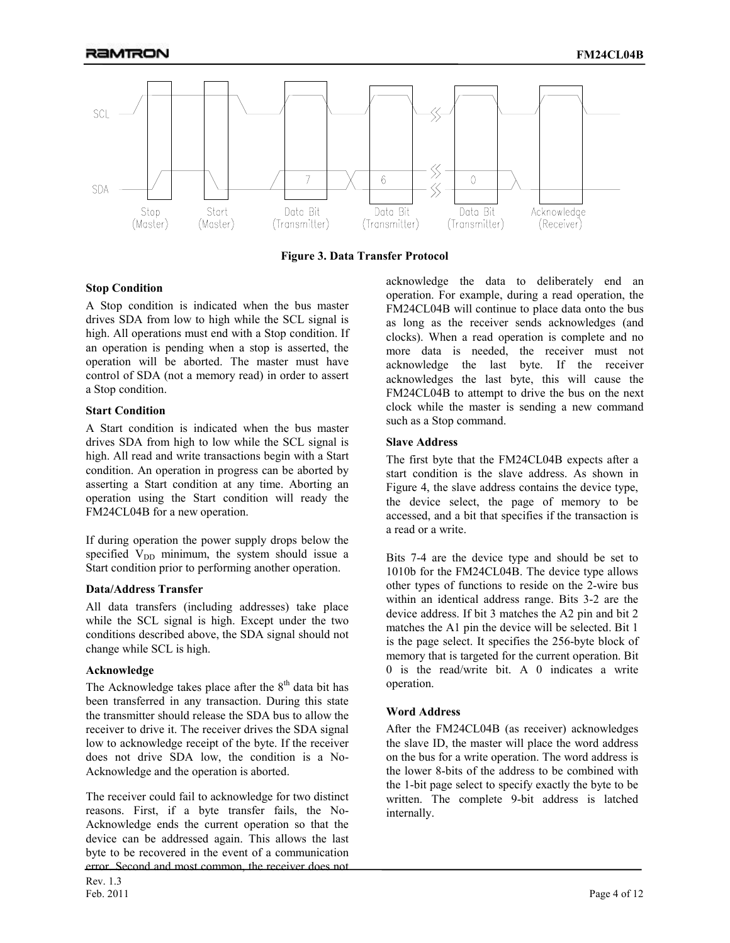

**Figure 3. Data Transfer Protocol**

### **Stop Condition**

A Stop condition is indicated when the bus master drives SDA from low to high while the SCL signal is high. All operations must end with a Stop condition. If an operation is pending when a stop is asserted, the operation will be aborted. The master must have control of SDA (not a memory read) in order to assert a Stop condition.

#### **Start Condition**

A Start condition is indicated when the bus master drives SDA from high to low while the SCL signal is high. All read and write transactions begin with a Start condition. An operation in progress can be aborted by asserting a Start condition at any time. Aborting an operation using the Start condition will ready the FM24CL04B for a new operation.

If during operation the power supply drops below the specified  $V_{DD}$  minimum, the system should issue a Start condition prior to performing another operation.

### **Data/Address Transfer**

All data transfers (including addresses) take place while the SCL signal is high. Except under the two conditions described above, the SDA signal should not change while SCL is high.

### **Acknowledge**

The Acknowledge takes place after the  $8<sup>th</sup>$  data bit has been transferred in any transaction. During this state the transmitter should release the SDA bus to allow the receiver to drive it. The receiver drives the SDA signal low to acknowledge receipt of the byte. If the receiver does not drive SDA low, the condition is a No-Acknowledge and the operation is aborted.

The receiver could fail to acknowledge for two distinct reasons. First, if a byte transfer fails, the No-Acknowledge ends the current operation so that the device can be addressed again. This allows the last byte to be recovered in the event of a communication error. Second and most common, the receiver does not

acknowledge the data to deliberately end an operation. For example, during a read operation, the FM24CL04B will continue to place data onto the bus as long as the receiver sends acknowledges (and clocks). When a read operation is complete and no more data is needed, the receiver must not acknowledge the last byte. If the receiver acknowledges the last byte, this will cause the FM24CL04B to attempt to drive the bus on the next clock while the master is sending a new command such as a Stop command.

### **Slave Address**

The first byte that the FM24CL04B expects after a start condition is the slave address. As shown in Figure 4, the slave address contains the device type, the device select, the page of memory to be accessed, and a bit that specifies if the transaction is a read or a write.

Bits 7-4 are the device type and should be set to 1010b for the FM24CL04B. The device type allows other types of functions to reside on the 2-wire bus within an identical address range. Bits 3-2 are the device address. If bit 3 matches the A2 pin and bit 2 matches the A1 pin the device will be selected. Bit 1 is the page select. It specifies the 256-byte block of memory that is targeted for the current operation. Bit 0 is the read/write bit. A 0 indicates a write operation.

### **Word Address**

After the FM24CL04B (as receiver) acknowledges the slave ID, the master will place the word address on the bus for a write operation. The word address is the lower 8-bits of the address to be combined with the 1-bit page select to specify exactly the byte to be written. The complete 9-bit address is latched internally.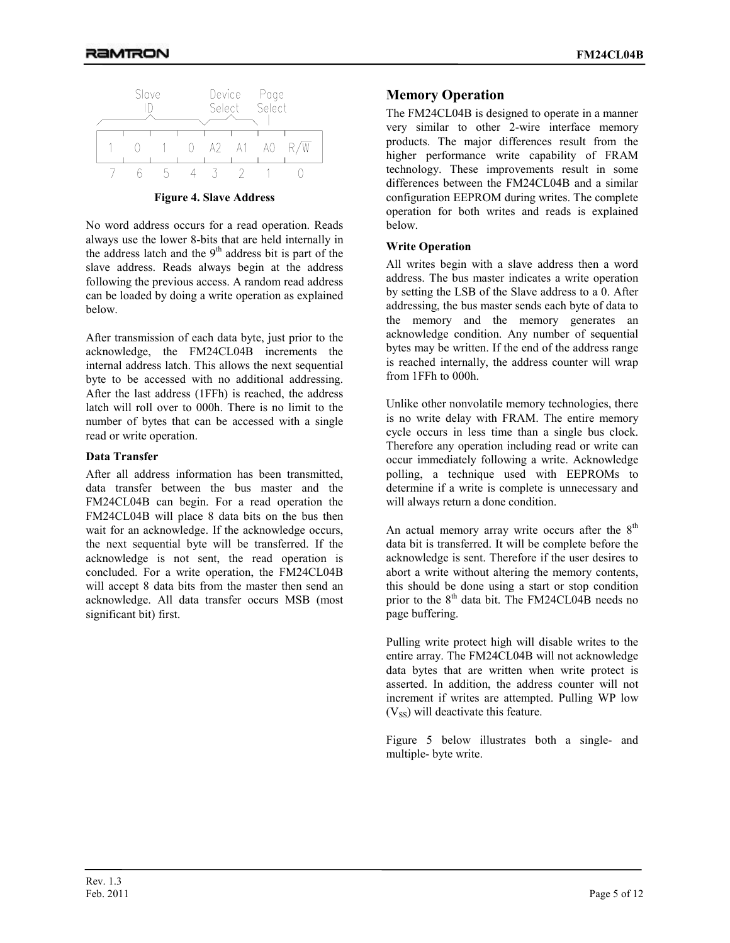

**Figure 4. Slave Address** 

No word address occurs for a read operation. Reads always use the lower 8-bits that are held internally in the address latch and the  $9<sup>th</sup>$  address bit is part of the slave address. Reads always begin at the address following the previous access. A random read address can be loaded by doing a write operation as explained below.

After transmission of each data byte, just prior to the acknowledge, the FM24CL04B increments the internal address latch. This allows the next sequential byte to be accessed with no additional addressing. After the last address (1FFh) is reached, the address latch will roll over to 000h. There is no limit to the number of bytes that can be accessed with a single read or write operation.

#### **Data Transfer**

After all address information has been transmitted, data transfer between the bus master and the FM24CL04B can begin. For a read operation the FM24CL04B will place 8 data bits on the bus then wait for an acknowledge. If the acknowledge occurs, the next sequential byte will be transferred. If the acknowledge is not sent, the read operation is concluded. For a write operation, the FM24CL04B will accept 8 data bits from the master then send an acknowledge. All data transfer occurs MSB (most significant bit) first.

## **Memory Operation**

The FM24CL04B is designed to operate in a manner very similar to other 2-wire interface memory products. The major differences result from the higher performance write capability of FRAM technology. These improvements result in some differences between the FM24CL04B and a similar configuration EEPROM during writes. The complete operation for both writes and reads is explained below.

### **Write Operation**

All writes begin with a slave address then a word address. The bus master indicates a write operation by setting the LSB of the Slave address to a 0. After addressing, the bus master sends each byte of data to the memory and the memory generates an acknowledge condition. Any number of sequential bytes may be written. If the end of the address range is reached internally, the address counter will wrap from 1FFh to 000h.

Unlike other nonvolatile memory technologies, there is no write delay with FRAM. The entire memory cycle occurs in less time than a single bus clock. Therefore any operation including read or write can occur immediately following a write. Acknowledge polling, a technique used with EEPROMs to determine if a write is complete is unnecessary and will always return a done condition.

An actual memory array write occurs after the  $8<sup>th</sup>$ data bit is transferred. It will be complete before the acknowledge is sent. Therefore if the user desires to abort a write without altering the memory contents, this should be done using a start or stop condition prior to the  $8<sup>th</sup>$  data bit. The FM24CL04B needs no page buffering.

Pulling write protect high will disable writes to the entire array. The FM24CL04B will not acknowledge data bytes that are written when write protect is asserted. In addition, the address counter will not increment if writes are attempted. Pulling WP low  $(V_{SS})$  will deactivate this feature.

Figure 5 below illustrates both a single- and multiple- byte write.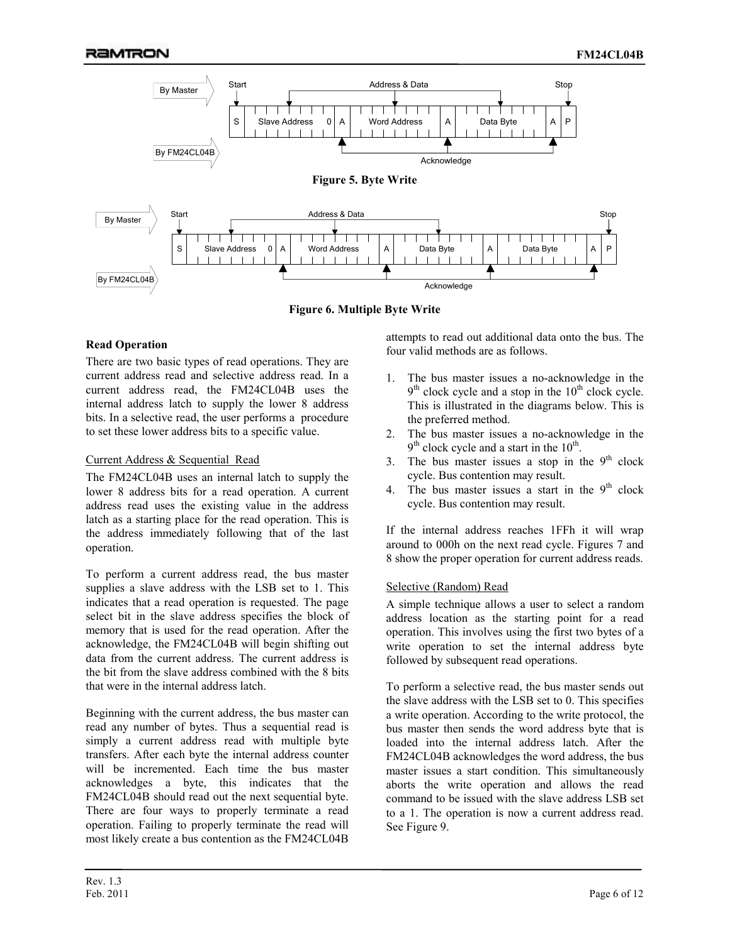

**Figure 6. Multiple Byte Write** 

## **Read Operation**

There are two basic types of read operations. They are current address read and selective address read. In a current address read, the FM24CL04B uses the internal address latch to supply the lower 8 address bits. In a selective read, the user performs a procedure to set these lower address bits to a specific value.

### Current Address & Sequential Read

The FM24CL04B uses an internal latch to supply the lower 8 address bits for a read operation. A current address read uses the existing value in the address latch as a starting place for the read operation. This is the address immediately following that of the last operation.

To perform a current address read, the bus master supplies a slave address with the LSB set to 1. This indicates that a read operation is requested. The page select bit in the slave address specifies the block of memory that is used for the read operation. After the acknowledge, the FM24CL04B will begin shifting out data from the current address. The current address is the bit from the slave address combined with the 8 bits that were in the internal address latch.

Beginning with the current address, the bus master can read any number of bytes. Thus a sequential read is simply a current address read with multiple byte transfers. After each byte the internal address counter will be incremented. Each time the bus master acknowledges a byte, this indicates that the FM24CL04B should read out the next sequential byte. There are four ways to properly terminate a read operation. Failing to properly terminate the read will most likely create a bus contention as the FM24CL04B

attempts to read out additional data onto the bus. The four valid methods are as follows.

- 1. The bus master issues a no-acknowledge in the  $9<sup>th</sup>$  clock cycle and a stop in the  $10<sup>th</sup>$  clock cycle. This is illustrated in the diagrams below. This is the preferred method.
- 2. The bus master issues a no-acknowledge in the  $9<sup>th</sup>$  clock cycle and a start in the  $10<sup>th</sup>$ .
- 3. The bus master issues a stop in the  $9<sup>th</sup>$  clock cycle. Bus contention may result.
- 4. The bus master issues a start in the  $9<sup>th</sup>$  clock cycle. Bus contention may result.

If the internal address reaches 1FFh it will wrap around to 000h on the next read cycle. Figures 7 and 8 show the proper operation for current address reads.

## Selective (Random) Read

A simple technique allows a user to select a random address location as the starting point for a read operation. This involves using the first two bytes of a write operation to set the internal address byte followed by subsequent read operations.

To perform a selective read, the bus master sends out the slave address with the LSB set to 0. This specifies a write operation. According to the write protocol, the bus master then sends the word address byte that is loaded into the internal address latch. After the FM24CL04B acknowledges the word address, the bus master issues a start condition. This simultaneously aborts the write operation and allows the read command to be issued with the slave address LSB set to a 1. The operation is now a current address read. See Figure 9.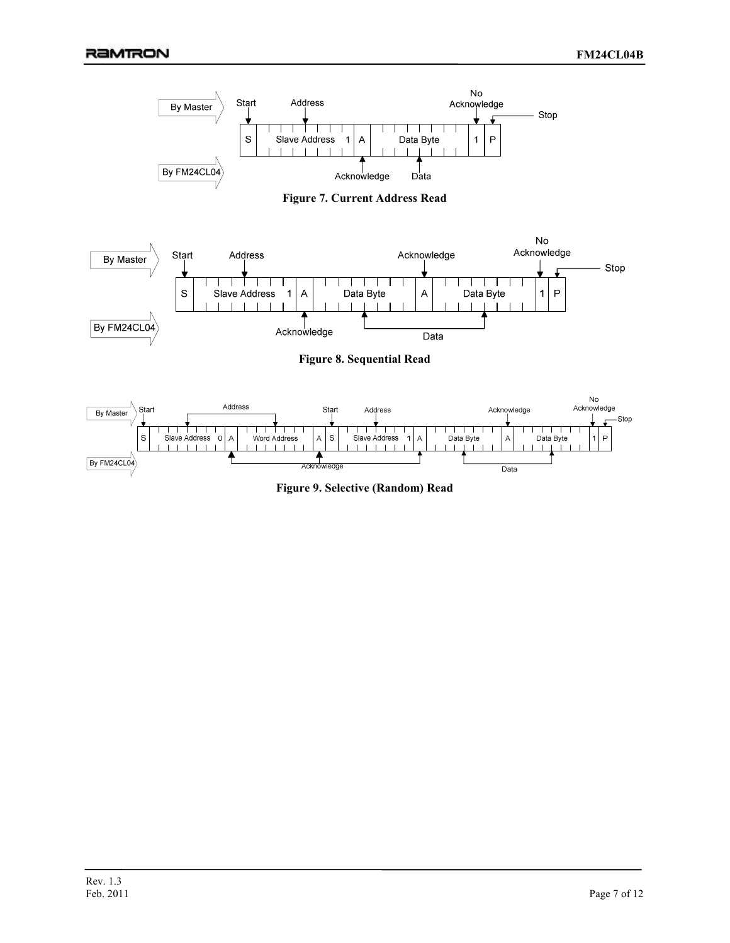





**Figure 8. Sequential Read** 



**Figure 9. Selective (Random) Read**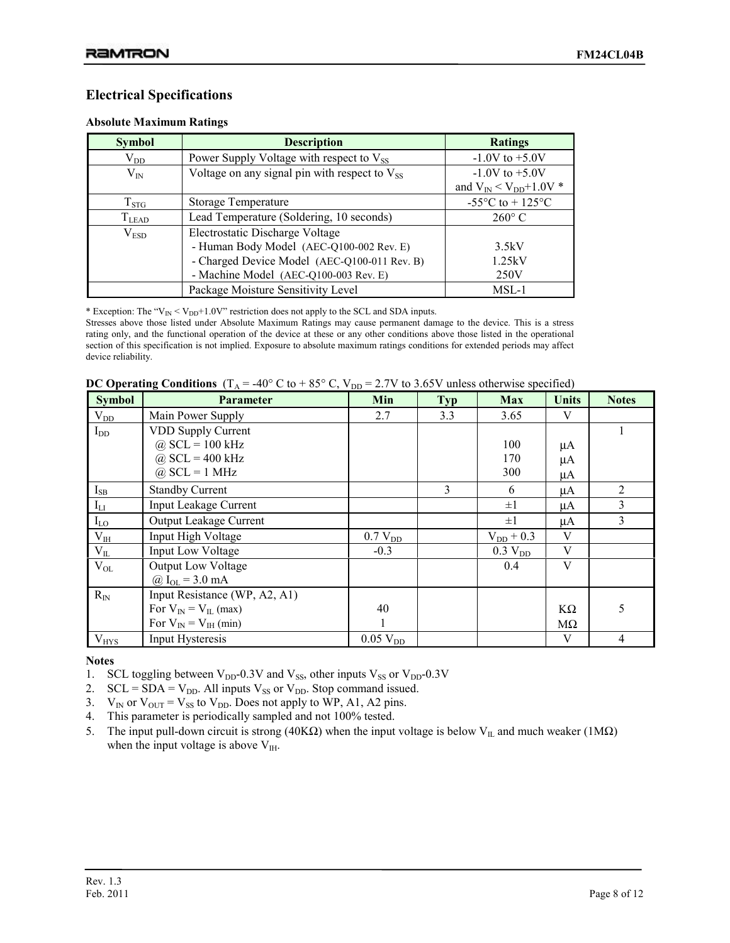## **Electrical Specifications**

#### **Absolute Maximum Ratings**

| <b>Symbol</b> | <b>Description</b>                                   | <b>Ratings</b>                         |
|---------------|------------------------------------------------------|----------------------------------------|
| $\rm V_{DD}$  | Power Supply Voltage with respect to V <sub>SS</sub> | $-1.0V$ to $+5.0V$                     |
| $V_{IN}$      | Voltage on any signal pin with respect to $V_{SS}$   | $-1.0V$ to $+5.0V$                     |
|               |                                                      | and $V_{IN} < V_{DD} + 1.0V$ *         |
| $T_{STG}$     | Storage Temperature                                  | -55 $^{\circ}$ C to + 125 $^{\circ}$ C |
| $T_{LEAD}$    | Lead Temperature (Soldering, 10 seconds)             | $260^{\circ}$ C                        |
| $\rm V_{ESD}$ | Electrostatic Discharge Voltage                      |                                        |
|               | - Human Body Model (AEC-Q100-002 Rev. E)             | 3.5kV                                  |
|               | - Charged Device Model (AEC-Q100-011 Rev. B)         | 1.25kV                                 |
|               | - Machine Model (AEC-Q100-003 Rev. E)                | 250V                                   |
|               | Package Moisture Sensitivity Level                   | $MSL-1$                                |

\* Exception: The " $V_{IN}$  <  $V_{DD}$ +1.0V" restriction does not apply to the SCL and SDA inputs.

Stresses above those listed under Absolute Maximum Ratings may cause permanent damage to the device. This is a stress rating only, and the functional operation of the device at these or any other conditions above those listed in the operational section of this specification is not implied. Exposure to absolute maximum ratings conditions for extended periods may affect device reliability.

|  |  |  |  |  |  |  | <b>DC Operating Conditions</b> ( $T_A = -40^\circ$ C to + 85° C, $V_{DD} = 2.7V$ to 3.65V unless otherwise specified) |  |
|--|--|--|--|--|--|--|-----------------------------------------------------------------------------------------------------------------------|--|
|--|--|--|--|--|--|--|-----------------------------------------------------------------------------------------------------------------------|--|

| <b>Symbol</b> | <b>Parameter</b>              | Min                 | <b>Typ</b> | <b>Max</b>          | <b>Units</b> | <b>Notes</b>   |
|---------------|-------------------------------|---------------------|------------|---------------------|--------------|----------------|
| $\rm V_{DD}$  | Main Power Supply             | 2.7                 | 3.3        | 3.65                | V            |                |
| $I_{DD}$      | <b>VDD Supply Current</b>     |                     |            |                     |              |                |
|               | $@$ SCL = 100 kHz             |                     |            | 100                 | μA           |                |
|               | $@$ SCL = 400 kHz             |                     |            | 170                 | μA           |                |
|               | $\omega$ SCL = 1 MHz          |                     |            | 300                 | μA           |                |
| $I_{SB}$      | <b>Standby Current</b>        |                     | 3          | 6                   | μA           | $\overline{2}$ |
| $I_{LI}$      | <b>Input Leakage Current</b>  |                     |            | $\pm 1$             | μA           | 3              |
| $I_{LO}$      | Output Leakage Current        |                     |            | $\pm 1$             | μA           | 3              |
| $V_{IH}$      | Input High Voltage            | 0.7 V <sub>DD</sub> |            | $V_{DD}$ + 0.3      | V            |                |
| $V_{IL}$      | <b>Input Low Voltage</b>      | $-0.3$              |            | 0.3 V <sub>DD</sub> | V            |                |
| $V_{OL}$      | <b>Output Low Voltage</b>     |                     |            | 0.4                 | V            |                |
|               | @ $I_{OL} = 3.0$ mA           |                     |            |                     |              |                |
| $R_{IN}$      | Input Resistance (WP, A2, A1) |                     |            |                     |              |                |
|               | For $V_{IN} = V_{IL}$ (max)   | 40                  |            |                     | KΩ           | 5              |
|               | For $V_{IN} = V_{IH}$ (min)   |                     |            |                     | $M\Omega$    |                |
| $V_{HYS}$     | Input Hysteresis              | $0.05$ $V_{DD}$     |            |                     | V            | 4              |

**Notes** 

- 1. SCL toggling between  $V_{DD}$ -0.3V and  $V_{SS}$ , other inputs  $V_{SS}$  or  $V_{DD}$ -0.3V
- 2.  $SCL = SDA = V_{DD}$ . All inputs  $V_{SS}$  or  $V_{DD}$ . Stop command issued.
- 3.  $V_{IN}$  or  $V_{OUT} = V_{SS}$  to  $V_{DD}$ . Does not apply to WP, A1, A2 pins.
- 4. This parameter is periodically sampled and not 100% tested.
- 5. The input pull-down circuit is strong (40KΩ) when the input voltage is below V<sub>IL</sub> and much weaker (1MΩ) when the input voltage is above  $V_{\text{IH}}$ .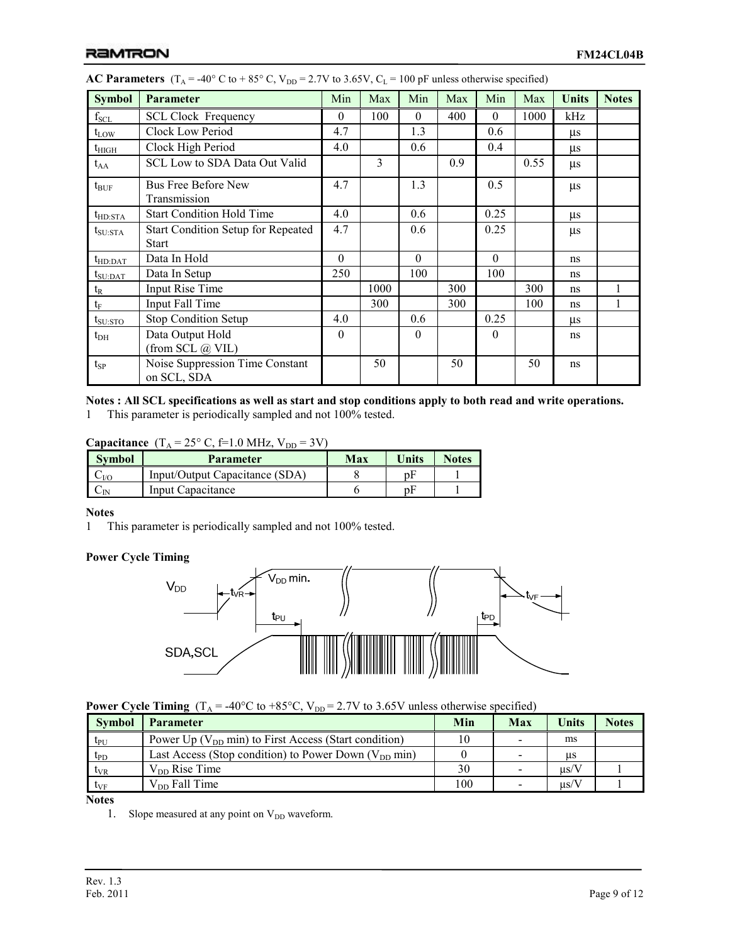| <b>Symbol</b>     | <b>Parameter</b>                               | Min      | Max  | Min      | Max | Min      | Max  | Units   | <b>Notes</b> |
|-------------------|------------------------------------------------|----------|------|----------|-----|----------|------|---------|--------------|
| $\rm f_{\rm SCL}$ | <b>SCL Clock Frequency</b>                     | $\theta$ | 100  | $\Omega$ | 400 | $\Omega$ | 1000 | kHz     |              |
| $t_{LOW}$         | Clock Low Period                               | 4.7      |      | 1.3      |     | 0.6      |      | $\mu$ s |              |
| $t_{\rm HIGH}$    | Clock High Period                              | 4.0      |      | 0.6      |     | 0.4      |      | $\mu$ s |              |
| $t_{AA}$          | SCL Low to SDA Data Out Valid                  |          | 3    |          | 0.9 |          | 0.55 | $\mu s$ |              |
| $t_{\text{BUF}}$  | <b>Bus Free Before New</b><br>Transmission     | 4.7      |      | 1.3      |     | 0.5      |      | $\mu s$ |              |
| $t_{HD:STA}$      | <b>Start Condition Hold Time</b>               | 4.0      |      | 0.6      |     | 0.25     |      | $\mu s$ |              |
| $t_{\rm SU:STA}$  | <b>Start Condition Setup for Repeated</b>      | 4.7      |      | 0.6      |     | 0.25     |      | $\mu s$ |              |
|                   | <b>Start</b>                                   |          |      |          |     |          |      |         |              |
| $t_{HD:DAT}$      | Data In Hold                                   | $\Omega$ |      | $\Omega$ |     | $\Omega$ |      | ns      |              |
| $t_{\rm SU:DAT}$  | Data In Setup                                  | 250      |      | 100      |     | 100      |      | ns      |              |
| $t_{R}$           | Input Rise Time                                |          | 1000 |          | 300 |          | 300  | ns      | 1            |
| $t_{\rm F}$       | Input Fall Time                                |          | 300  |          | 300 |          | 100  | ns      | 1            |
| $t_{\rm SU:STO}$  | Stop Condition Setup                           | 4.0      |      | 0.6      |     | 0.25     |      | μs      |              |
| $t_{\rm DH}$      | Data Output Hold                               | $\theta$ |      | $\Omega$ |     | $\Omega$ |      | ns      |              |
|                   | (from SCL @ VIL)                               |          |      |          |     |          |      |         |              |
| $t_{SP}$          | Noise Suppression Time Constant<br>on SCL, SDA |          | 50   |          | 50  |          | 50   | ns      |              |

| <b>AC Parameters</b> (T <sub>A</sub> = -40° C to + 85° C, V <sub>DD</sub> = 2.7V to 3.65V, C <sub>L</sub> = 100 pF unless otherwise specified) |  |  |  |  |  |
|------------------------------------------------------------------------------------------------------------------------------------------------|--|--|--|--|--|
|------------------------------------------------------------------------------------------------------------------------------------------------|--|--|--|--|--|

## **Notes : All SCL specifications as well as start and stop conditions apply to both read and write operations.**

1 This parameter is periodically sampled and not 100% tested.

**Capacitance**  $(T_A = 25^\circ \text{ C}, \text{f=1.0 MHz}, V_{DD} = 3\text{ V})$ 

| <b>Symbol</b> | <b>Parameter</b>               | Max | Units | <b>Notes</b> |
|---------------|--------------------------------|-----|-------|--------------|
| $-VC$         | Input/Output Capacitance (SDA) |     |       |              |
|               | Input Capacitance              |     |       |              |

### **Notes**

1 This parameter is periodically sampled and not 100% tested.

## **Power Cycle Timing**



**Power Cycle Timing**  $(T_A = -40^{\circ}C \text{ to } +85^{\circ}C, V_{DD} = 2.7V \text{ to } 3.65V \text{ unless otherwise specified})$ 

| Power Up ( $V_{DD}$ min) to First Access (Start condition)<br>ms<br>$t_{\rm PU}$<br>Last Access (Stop condition) to Power Down $(V_{DD} \text{ min})$<br>$t_{\rm PD}$<br>us<br>$V_{DD}$ Rise Time<br>30<br>$\mu$ s/V<br>$t_{VR}$ | <b>Symbol</b> | <b>Parameter</b>   | Min | Max | Units     | <b>Notes</b> |
|----------------------------------------------------------------------------------------------------------------------------------------------------------------------------------------------------------------------------------|---------------|--------------------|-----|-----|-----------|--------------|
|                                                                                                                                                                                                                                  |               |                    |     |     |           |              |
|                                                                                                                                                                                                                                  |               |                    |     |     |           |              |
|                                                                                                                                                                                                                                  |               |                    |     |     |           |              |
| $t_{VF}$                                                                                                                                                                                                                         |               | $V_{DD}$ Fall Time | 100 |     | $\mu$ s/V |              |

**Notes** 

1. Slope measured at any point on  $V_{DD}$  waveform.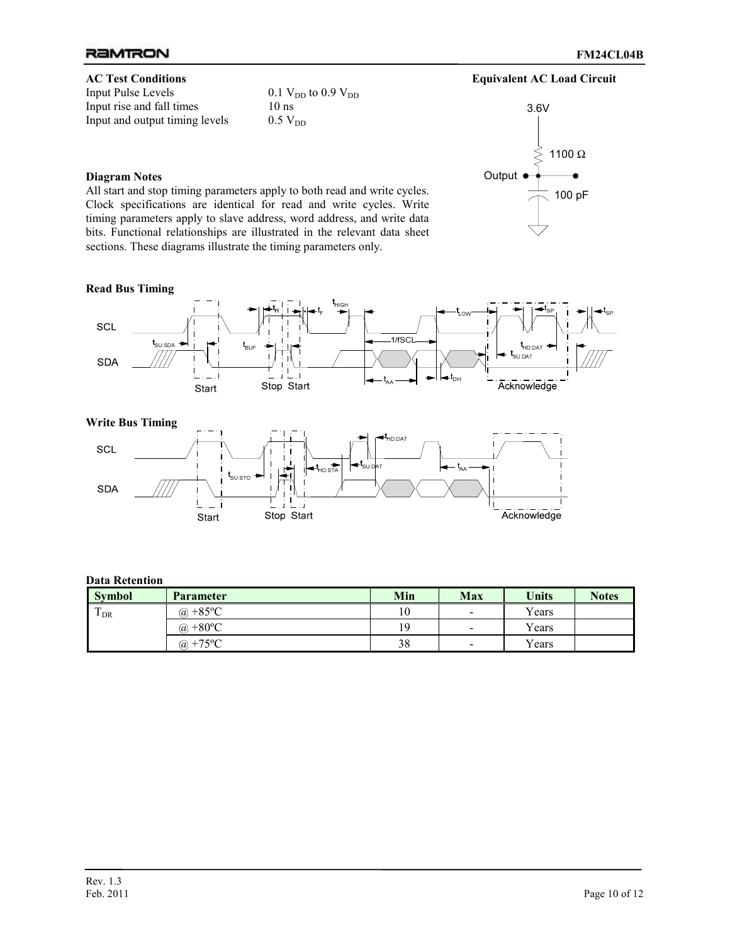

## **Diagram Notes**

All start and stop timing parameters apply to both read and write cycles. Clock specifications are identical for read and write cycles. Write timing parameters apply to slave address, word address, and write data bits. Functional relationships are illustrated in the relevant data sheet sections. These diagrams illustrate the timing parameters only.

 $0.1$  V<sub>DD</sub> to 0.9 V<sub>DD</sub><br>10 ns



### **Read Bus Timing**



#### **Write Bus Timing**



### **Data Retention**

| <b>Symbol</b>                   | Parameter          | Min | Max                      | <b>Units</b> | <b>Notes</b> |
|---------------------------------|--------------------|-----|--------------------------|--------------|--------------|
| $\mathbf{T}$<br>$1_{\text{DR}}$ | @ +85 $^{\circ}$ C | 10  | $\blacksquare$           | Years        |              |
|                                 | @ +80 $^{\circ}$ C | 19  | $\overline{\phantom{a}}$ | Years        |              |
|                                 | @ +75 $^{\circ}$ C | 38  | $\overline{\phantom{a}}$ | Years        |              |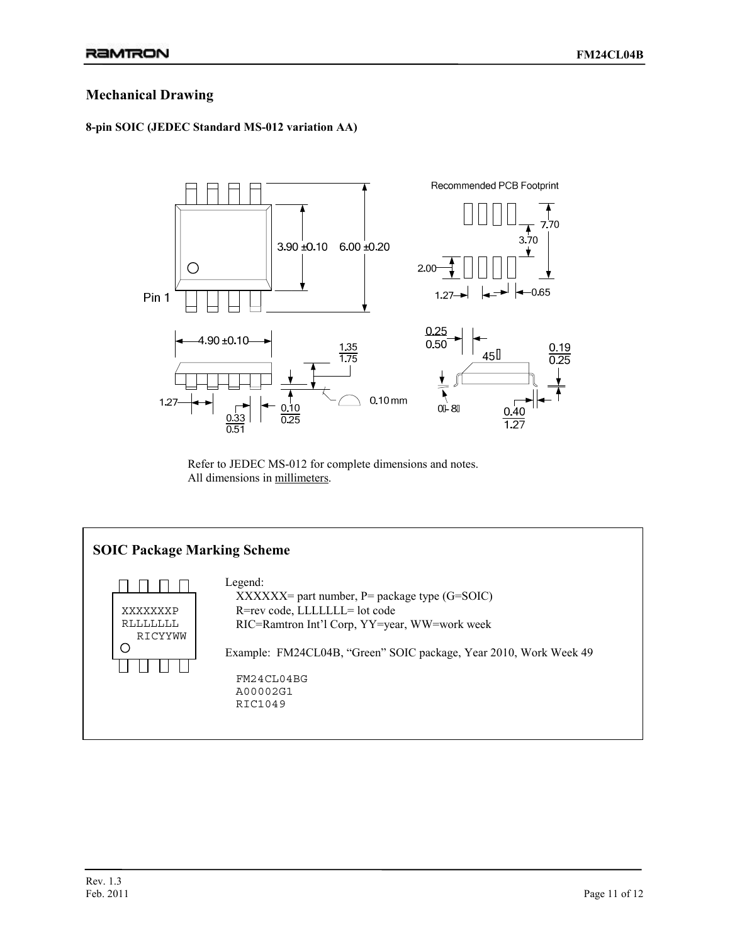## **Mechanical Drawing**

## **8-pin SOIC (JEDEC Standard MS-012 variation AA)**



Refer to JEDEC MS-012 for complete dimensions and notes. All dimensions in millimeters.